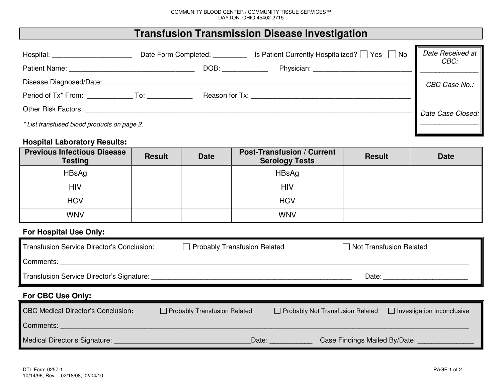## **Transfusion Transmission Disease Investigation**

| Hospital:                                   | Date Form Completed: _________ |      | Is Patient Currently Hospitalized? □ Yes □ No                                                                                                                                                                                  | Date Received at<br>CBC: |
|---------------------------------------------|--------------------------------|------|--------------------------------------------------------------------------------------------------------------------------------------------------------------------------------------------------------------------------------|--------------------------|
|                                             |                                | DOB: | Physician: District Physician:                                                                                                                                                                                                 |                          |
| Disease Diagnosed/Date:                     |                                |      |                                                                                                                                                                                                                                | CBC Case No.:            |
| Period of Tx* From: To:                     |                                |      | Reason for Tx: the contract of the contract of the contract of the contract of the contract of the contract of the contract of the contract of the contract of the contract of the contract of the contract of the contract of |                          |
| <b>Other Risk Factors:</b>                  |                                |      |                                                                                                                                                                                                                                | Date Case Closed:        |
| * List transfused blood products on page 2. |                                |      |                                                                                                                                                                                                                                |                          |

## **Hospital Laboratory Results:**

| <b>Previous Infectious Disease</b><br><b>Testing</b> | <b>Result</b> | <b>Date</b> | <b>Post-Transfusion / Current</b><br><b>Serology Tests</b> | <b>Result</b> | <b>Date</b> |
|------------------------------------------------------|---------------|-------------|------------------------------------------------------------|---------------|-------------|
| HBsAg                                                |               |             | HBsAg                                                      |               |             |
| <b>HIV</b>                                           |               |             | <b>HIV</b>                                                 |               |             |
| <b>HCV</b>                                           |               |             | <b>HCV</b>                                                 |               |             |
| <b>WNV</b>                                           |               |             | <b>WNV</b>                                                 |               |             |

## **For Hospital Use Only:**

| Transfusion Service Director's Conclusion: | Probably Transfusion Related        | □ Not Transfusion Related                                                    |  |
|--------------------------------------------|-------------------------------------|------------------------------------------------------------------------------|--|
| Comments:                                  |                                     |                                                                              |  |
| Transfusion Service Director's Signature:  |                                     | Date:                                                                        |  |
|                                            |                                     |                                                                              |  |
| <b>For CBC Use Only:</b>                   |                                     |                                                                              |  |
| <b>CBC Medical Director's Conclusion:</b>  | $\Box$ Probably Transfusion Related | $\Box$ Investigation Inconclusive<br>$\Box$ Probably Not Transfusion Related |  |